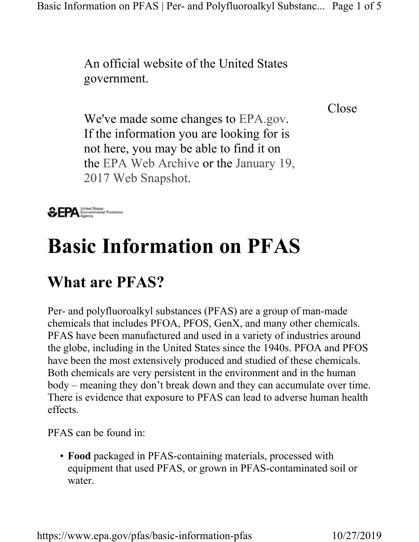An official website of the United States government.

Close

We've made some changes to EPA.gov. If the information you are looking for is not here, you may be able to find it on the EPA Web Archive or the January 19, 2017 Web Snapshot.



# Basic Information on PFAS

# What are PFAS?

Per- and polyfluoroalkyl substances (PFAS) are a group of man-made chemicals that includes PFOA, PFOS, GenX, and many other chemicals. PFAS have been manufactured and used in a variety of industries around the globe, including in the United States since the 1940s. PFOA and PFOS have been the most extensively produced and studied of these chemicals. Both chemicals are very persistent in the environment and in the human body – meaning they don't break down and they can accumulate over time. There is evidence that exposure to PFAS can lead to adverse human health effects.

PFAS can be found in:

• Food packaged in PFAS-containing materials, processed with equipment that used PFAS, or grown in PFAS-contaminated soil or water.

https://www.epa.gov/pfas/basic-information-pfas 10/27/2019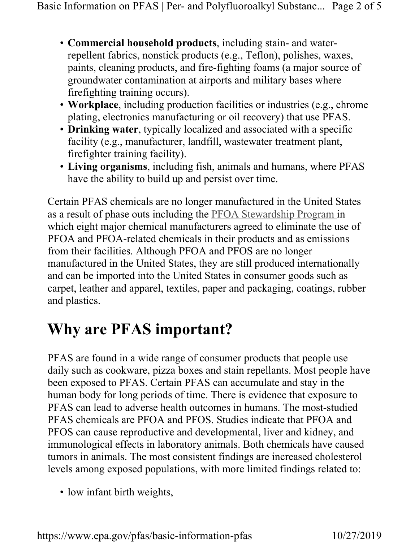- Commercial household products, including stain- and waterrepellent fabrics, nonstick products (e.g., Teflon), polishes, waxes, paints, cleaning products, and fire-fighting foams (a major source of groundwater contamination at airports and military bases where firefighting training occurs).
- Workplace, including production facilities or industries (e.g., chrome plating, electronics manufacturing or oil recovery) that use PFAS.
- Drinking water, typically localized and associated with a specific facility (e.g., manufacturer, landfill, wastewater treatment plant, firefighter training facility).
- Living organisms, including fish, animals and humans, where PFAS have the ability to build up and persist over time.

Certain PFAS chemicals are no longer manufactured in the United States as a result of phase outs including the PFOA Stewardship Program in which eight major chemical manufacturers agreed to eliminate the use of PFOA and PFOA-related chemicals in their products and as emissions from their facilities. Although PFOA and PFOS are no longer manufactured in the United States, they are still produced internationally and can be imported into the United States in consumer goods such as carpet, leather and apparel, textiles, paper and packaging, coatings, rubber and plastics.

# Why are PFAS important?

PFAS are found in a wide range of consumer products that people use daily such as cookware, pizza boxes and stain repellants. Most people have been exposed to PFAS. Certain PFAS can accumulate and stay in the human body for long periods of time. There is evidence that exposure to PFAS can lead to adverse health outcomes in humans. The most-studied PFAS chemicals are PFOA and PFOS. Studies indicate that PFOA and PFOS can cause reproductive and developmental, liver and kidney, and immunological effects in laboratory animals. Both chemicals have caused tumors in animals. The most consistent findings are increased cholesterol levels among exposed populations, with more limited findings related to:

• low infant birth weights,

https://www.epa.gov/pfas/basic-information-pfas 10/27/2019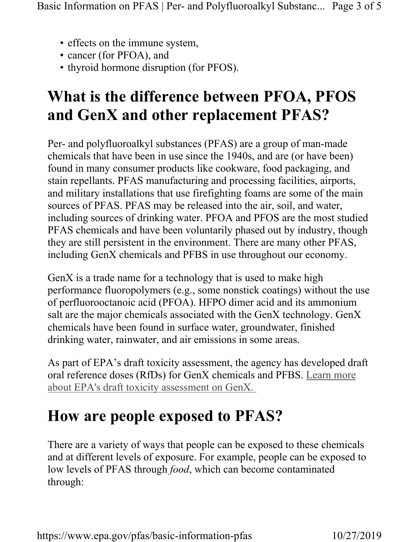- effects on the immune system,
- cancer (for PFOA), and
- thyroid hormone disruption (for PFOS).

### What is the difference between PFOA, PFOS and GenX and other replacement PFAS?

Per- and polyfluoroalkyl substances (PFAS) are a group of man-made chemicals that have been in use since the 1940s, and are (or have been) found in many consumer products like cookware, food packaging, and stain repellants. PFAS manufacturing and processing facilities, airports, and military installations that use firefighting foams are some of the main sources of PFAS. PFAS may be released into the air, soil, and water, including sources of drinking water. PFOA and PFOS are the most studied PFAS chemicals and have been voluntarily phased out by industry, though they are still persistent in the environment. There are many other PFAS, including GenX chemicals and PFBS in use throughout our economy.

GenX is a trade name for a technology that is used to make high performance fluoropolymers (e.g., some nonstick coatings) without the use of perfluorooctanoic acid (PFOA). HFPO dimer acid and its ammonium salt are the major chemicals associated with the GenX technology. GenX chemicals have been found in surface water, groundwater, finished drinking water, rainwater, and air emissions in some areas.

As part of EPA's draft toxicity assessment, the agency has developed draft oral reference doses (RfDs) for GenX chemicals and PFBS. Learn more about EPA's draft toxicity assessment on GenX.

#### How are people exposed to PFAS?

There are a variety of ways that people can be exposed to these chemicals and at different levels of exposure. For example, people can be exposed to low levels of PFAS through *food*, which can become contaminated through: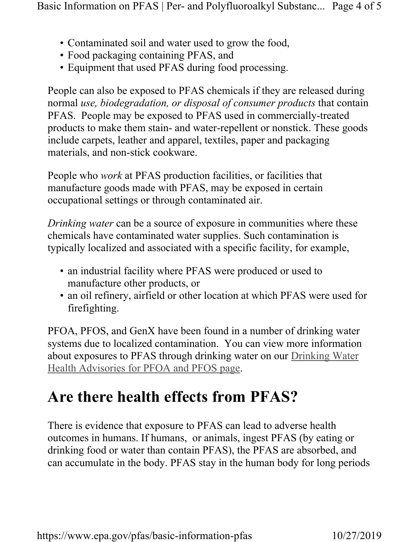- Contaminated soil and water used to grow the food,
- Food packaging containing PFAS, and
- Equipment that used PFAS during food processing.

People can also be exposed to PFAS chemicals if they are released during normal use, biodegradation, or disposal of consumer products that contain PFAS. People may be exposed to PFAS used in commercially-treated products to make them stain- and water-repellent or nonstick. These goods include carpets, leather and apparel, textiles, paper and packaging materials, and non-stick cookware.

People who *work* at PFAS production facilities, or facilities that manufacture goods made with PFAS, may be exposed in certain occupational settings or through contaminated air.

Drinking water can be a source of exposure in communities where these chemicals have contaminated water supplies. Such contamination is typically localized and associated with a specific facility, for example,

- an industrial facility where PFAS were produced or used to manufacture other products, or
- an oil refinery, airfield or other location at which PFAS were used for firefighting.

PFOA, PFOS, and GenX have been found in a number of drinking water systems due to localized contamination. You can view more information about exposures to PFAS through drinking water on our Drinking Water Health Advisories for PFOA and PFOS page.

#### Are there health effects from PFAS?

There is evidence that exposure to PFAS can lead to adverse health outcomes in humans. If humans, or animals, ingest PFAS (by eating or drinking food or water than contain PFAS), the PFAS are absorbed, and can accumulate in the body. PFAS stay in the human body for long periods